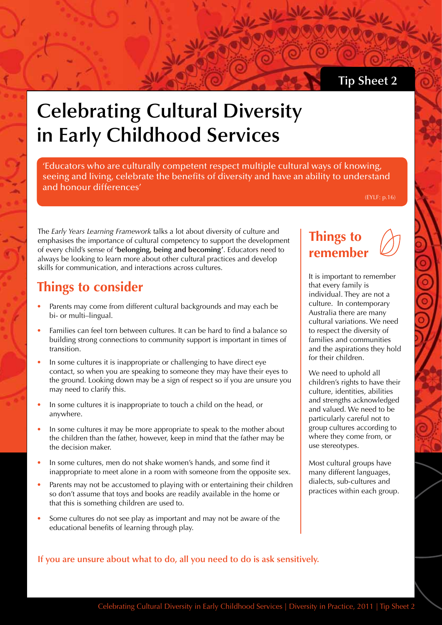## **Tip Sheet 2**

# **Celebrating Cultural Diversity in Early Childhood Services**

'Educators who are culturally competent respect multiple cultural ways of knowing, seeing and living, celebrate the benefits of diversity and have an ability to understand and honour differences'

(EYLF: p.16)

The *Early Years Learning Framework* talks a lot about diversity of culture and emphasises the importance of cultural competency to support the development of every child's sense of **'belonging, being and becoming'**. Educators need to always be looking to learn more about other cultural practices and develop skills for communication, and interactions across cultures.

# **Things to consider**

- Parents may come from different cultural backgrounds and may each be bi- or multi–lingual.
- Families can feel torn between cultures. It can be hard to find a balance so building strong connections to community support is important in times of transition.
- In some cultures it is inappropriate or challenging to have direct eye contact, so when you are speaking to someone they may have their eyes to the ground. Looking down may be a sign of respect so if you are unsure you may need to clarify this.
- In some cultures it is inappropriate to touch a child on the head, or anywhere.
- In some cultures it may be more appropriate to speak to the mother about the children than the father, however, keep in mind that the father may be the decision maker.
- In some cultures, men do not shake women's hands, and some find it inappropriate to meet alone in a room with someone from the opposite sex.
- Parents may not be accustomed to playing with or entertaining their children so don't assume that toys and books are readily available in the home or that this is something children are used to.
- Some cultures do not see play as important and may not be aware of the educational benefits of learning through play.

## **Things to remember**

It is important to remember that every family is individual. They are not a culture. In contemporary Australia there are many cultural variations. We need to respect the diversity of families and communities and the aspirations they hold for their children.

We need to uphold all children's rights to have their culture, identities, abilities and strengths acknowledged and valued. We need to be particularly careful not to group cultures according to where they come from, or use stereotypes.

Most cultural groups have many different languages, dialects, sub-cultures and practices within each group.

#### **If you are unsure about what to do, all you need to do is ask sensitively.**